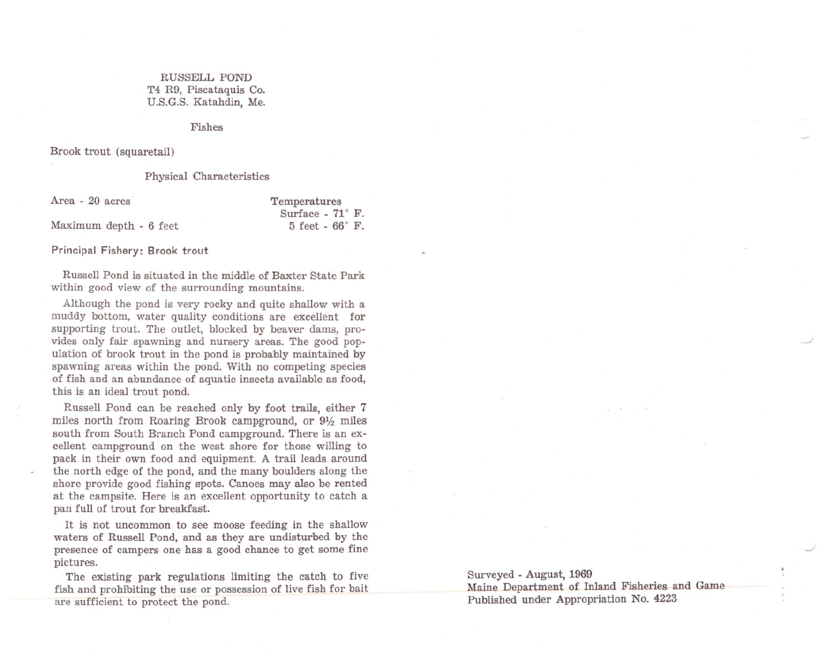## RUSSELL POND T4 R9, Piscataquis Co. U.S.G.S. Katahdin, Me.

## Fishes

Brook trout (squaretail)

Maximum depth - 6 feet

## Physical Characteristics

Area - 20 acres'

Temperatures Surface -  $71^\circ$  F.  $5$  feet -  $66^\circ$  F.

Principal Fishery: Brook trout

Russell Pond is situated in the middle of Baxter State Park within good view of the surrounding mountains.

Although the pond is very rocky and quite shallow with a muddy bottom, water quality conditions are excellent for supporting trout. The outlet, blocked by beaver dams, provides only fair spawning and nursery areas. The good population of brook trout in the pond is probably maintained by spawning areas within the pond. With no competing species of fish and an abundance of aquatic insects available as food, this is an ideal trout pond.

Russell Pond can be. reached only by foot trails, either 7 miles north from Roaring Brook campground, or  $9\frac{1}{2}$  miles south from South Branch Pond campground. There is an excellent campground on the west shore for those willing to pack in their own food and equipment. A trail leads around the north edge of the pond, and the many boulders along the shore provide good fishing spots. Canoes may also be rented at the campsite. Here is an excellent opportunity to catch a pan full of trout for breakfast.

It is not uncommon to see moose feeding in the shallow waters of Russell Pond, and as they are undisturbed by the presence of campers one has a good chance to get some fine pictures.

The existing park regulations limiting the catch to five fish and prohibiting the use or possession of live fish for bait are sufficient to protect the pond.

Surveyed - August, 1969 Maine Department of Inland Fisheries and Game Published under Appropriation No. 4223